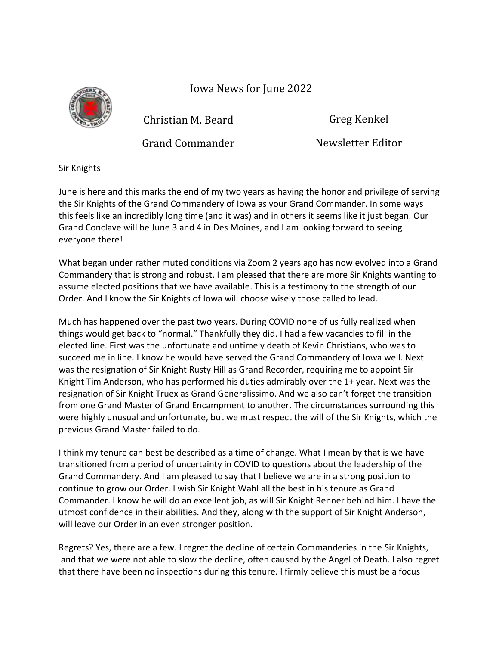Iowa News for June 2022



Christian M. Beard

Greg Kenkel

Grand Commander

Newsletter Editor

Sir Knights

June is here and this marks the end of my two years as having the honor and privilege of serving the Sir Knights of the Grand Commandery of Iowa as your Grand Commander. In some ways this feels like an incredibly long time (and it was) and in others it seems like it just began. Our Grand Conclave will be June 3 and 4 in Des Moines, and I am looking forward to seeing everyone there!

What began under rather muted conditions via Zoom 2 years ago has now evolved into a Grand Commandery that is strong and robust. I am pleased that there are more Sir Knights wanting to assume elected positions that we have available. This is a testimony to the strength of our Order. And I know the Sir Knights of Iowa will choose wisely those called to lead.

Much has happened over the past two years. During COVID none of us fully realized when things would get back to "normal." Thankfully they did. I had a few vacancies to fill in the elected line. First was the unfortunate and untimely death of Kevin Christians, who was to succeed me in line. I know he would have served the Grand Commandery of Iowa well. Next was the resignation of Sir Knight Rusty Hill as Grand Recorder, requiring me to appoint Sir Knight Tim Anderson, who has performed his duties admirably over the 1+ year. Next was the resignation of Sir Knight Truex as Grand Generalissimo. And we also can't forget the transition from one Grand Master of Grand Encampment to another. The circumstances surrounding this were highly unusual and unfortunate, but we must respect the will of the Sir Knights, which the previous Grand Master failed to do.

I think my tenure can best be described as a time of change. What I mean by that is we have transitioned from a period of uncertainty in COVID to questions about the leadership of the Grand Commandery. And I am pleased to say that I believe we are in a strong position to continue to grow our Order. I wish Sir Knight Wahl all the best in his tenure as Grand Commander. I know he will do an excellent job, as will Sir Knight Renner behind him. I have the utmost confidence in their abilities. And they, along with the support of Sir Knight Anderson, will leave our Order in an even stronger position.

Regrets? Yes, there are a few. I regret the decline of certain Commanderies in the Sir Knights, and that we were not able to slow the decline, often caused by the Angel of Death. I also regret that there have been no inspections during this tenure. I firmly believe this must be a focus